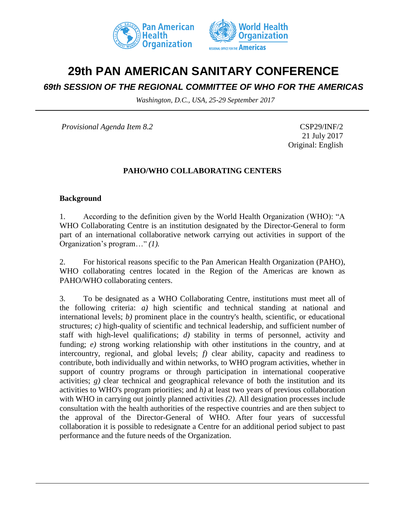



# **29th PAN AMERICAN SANITARY CONFERENCE**

## *69th SESSION OF THE REGIONAL COMMITTEE OF WHO FOR THE AMERICAS*

*Washington, D.C., USA, 25-29 September 2017*

*Provisional Agenda Item 8.2* CSP29/INF/2

21 July 2017 Original: English

#### **PAHO/WHO COLLABORATING CENTERS**

#### **Background**

1. According to the definition given by the World Health Organization (WHO): "A WHO Collaborating Centre is an institution designated by the Director-General to form part of an international collaborative network carrying out activities in support of the Organization's program…" *(1).* 

2. For historical reasons specific to the Pan American Health Organization (PAHO), WHO collaborating centres located in the Region of the Americas are known as PAHO/WHO collaborating centers.

3. To be designated as a WHO Collaborating Centre, institutions must meet all of the following criteria: *a)* high scientific and technical standing at national and international levels; *b)* prominent place in the country's health, scientific, or educational structures; *c*) high-quality of scientific and technical leadership, and sufficient number of staff with high-level qualifications; *d)* stability in terms of personnel, activity and funding; *e)* strong working relationship with other institutions in the country, and at intercountry, regional, and global levels; *f)* clear ability, capacity and readiness to contribute, both individually and within networks, to WHO program activities, whether in support of country programs or through participation in international cooperative activities;  $g$ ) clear technical and geographical relevance of both the institution and its activities to WHO's program priorities; and *h)* at least two years of previous collaboration with WHO in carrying out jointly planned activities *(2)*. All designation processes include consultation with the health authorities of the respective countries and are then subject to the approval of the Director-General of WHO. After four years of successful collaboration it is possible to redesignate a Centre for an additional period subject to past performance and the future needs of the Organization.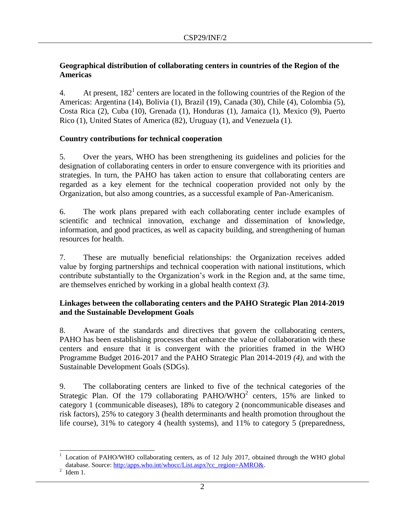### **Geographical distribution of collaborating centers in countries of the Region of the Americas**

4. At present,  $182<sup>1</sup>$  centers are located in the following countries of the Region of the Americas: Argentina (14), Bolivia (1), Brazil (19), Canada (30), Chile (4), Colombia (5), Costa Rica (2), Cuba (10), Grenada (1), Honduras (1), Jamaica (1), Mexico (9), Puerto Rico (1), United States of America (82), Uruguay (1), and Venezuela (1).

### **Country contributions for technical cooperation**

5. Over the years, WHO has been strengthening its guidelines and policies for the designation of collaborating centers in order to ensure convergence with its priorities and strategies. In turn, the PAHO has taken action to ensure that collaborating centers are regarded as a key element for the technical cooperation provided not only by the Organization, but also among countries, as a successful example of Pan-Americanism.

6. The work plans prepared with each collaborating center include examples of scientific and technical innovation, exchange and dissemination of knowledge, information, and good practices, as well as capacity building, and strengthening of human resources for health.

7. These are mutually beneficial relationships: the Organization receives added value by forging partnerships and technical cooperation with national institutions, which contribute substantially to the Organization's work in the Region and, at the same time, are themselves enriched by working in a global health context *(3).* 

### **Linkages between the collaborating centers and the PAHO Strategic Plan 2014-2019 and the Sustainable Development Goals**

8. Aware of the standards and directives that govern the collaborating centers, PAHO has been establishing processes that enhance the value of collaboration with these centers and ensure that it is convergent with the priorities framed in the WHO Programme Budget 2016-2017 and the PAHO Strategic Plan 2014-2019 *(4)*, and with the Sustainable Development Goals (SDGs).

9. The collaborating centers are linked to five of the technical categories of the Strategic Plan. Of the  $179$  collaborating PAHO/WHO<sup>2</sup> centers, 15% are linked to category 1 (communicable diseases), 18% to category 2 (noncommunicable diseases and risk factors), 25% to category 3 (health determinants and health promotion throughout the life course), 31% to category 4 (health systems), and 11% to category 5 (preparedness,

 $\overline{a}$ <sup>1</sup> Location of PAHO/WHO collaborating centers, as of 12 July 2017, obtained through the WHO global database. Source: [http:/apps.who.int/whocc/List.aspx?cc\\_region=AMRO&.](http://apps.who.int/whocc/List.aspx?cc_region=AMRO&)

 $2$  Idem 1.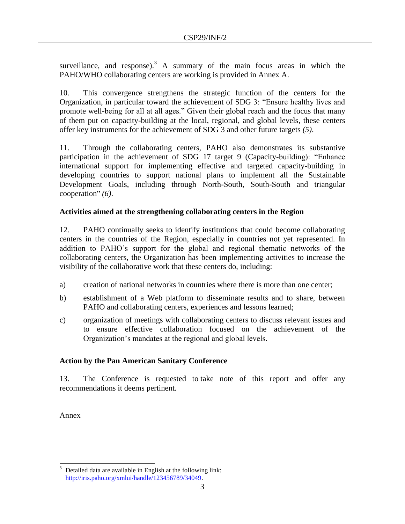surveillance, and response).<sup>3</sup> A summary of the main focus areas in which the PAHO/WHO collaborating centers are working is provided in Annex A.

10. This convergence strengthens the strategic function of the centers for the Organization, in particular toward the achievement of SDG 3: "Ensure healthy lives and promote well-being for all at all ages." Given their global reach and the focus that many of them put on capacity-building at the local, regional, and global levels, these centers offer key instruments for the achievement of SDG 3 and other future targets *(5)*.

11. Through the collaborating centers, PAHO also demonstrates its substantive participation in the achievement of SDG 17 target 9 (Capacity-building): "Enhance international support for implementing effective and targeted capacity-building in developing countries to support national plans to implement all the Sustainable Development Goals, including through North-South, South-South and triangular cooperation" *(6)*.

### **Activities aimed at the strengthening collaborating centers in the Region**

12. PAHO continually seeks to identify institutions that could become collaborating centers in the countries of the Region, especially in countries not yet represented. In addition to PAHO's support for the global and regional thematic networks of the collaborating centers, the Organization has been implementing activities to increase the visibility of the collaborative work that these centers do, including:

- a) creation of national networks in countries where there is more than one center;
- b) establishment of a Web platform to disseminate results and to share, between PAHO and collaborating centers, experiences and lessons learned;
- c) organization of meetings with collaborating centers to discuss relevant issues and to ensure effective collaboration focused on the achievement of the Organization's mandates at the regional and global levels.

## **Action by the Pan American Sanitary Conference**

13. The Conference is requested to take note of this report and offer any recommendations it deems pertinent.

Annex

 $\overline{\phantom{a}}$ Detailed data are available in English at the following link: [http://iris.paho.org/xmlui/handle/123456789/34049.](http://iris.paho.org/xmlui/handle/123456789/34049)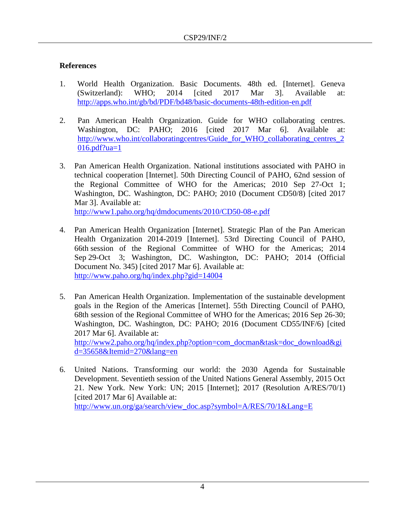#### **References**

- 1. World Health Organization. Basic Documents. 48th ed. [Internet]. Geneva (Switzerland): WHO; 2014 [cited 2017 Mar 3]. Available at: <http://apps.who.int/gb/bd/PDF/bd48/basic-documents-48th-edition-en.pdf>
- 2. Pan American Health Organization. Guide for WHO collaborating centres. Washington, DC: PAHO; 2016 [cited 2017 Mar 6]. Available at: [http://www.who.int/collaboratingcentres/Guide\\_for\\_WHO\\_collaborating\\_centres\\_2](http://www.who.int/collaboratingcentres/Guide_for_WHO_collaborating_centres_2016.pdf?ua=1)  $016.pdf$ .pdf?ua=1
- 3. Pan American Health Organization. National institutions associated with PAHO in technical cooperation [Internet]. 50th Directing Council of PAHO, 62nd session of the Regional Committee of WHO for the Americas; 2010 Sep 27-Oct 1; Washington, DC. Washington, DC: PAHO; 2010 (Document CD50/8) [cited 2017 Mar 3]. Available at: <http://www1.paho.org/hq/dmdocuments/2010/CD50-08-e.pdf>

4. Pan American Health Organization [Internet]. Strategic Plan of the Pan American Health Organization 2014-2019 [Internet]. 53rd Directing Council of PAHO, 66th session of the Regional Committee of WHO for the Americas; 2014 Sep 29-Oct 3; Washington, DC. Washington, DC: PAHO; 2014 (Official Document No. 345) [cited 2017 Mar 6]. Available at: <http://www.paho.org/hq/index.php?gid=14004>

- 5. Pan American Health Organization. Implementation of the sustainable development goals in the Region of the Americas [Internet]. 55th Directing Council of PAHO, 68th session of the Regional Committee of WHO for the Americas; 2016 Sep 26-30; Washington, DC. Washington, DC: PAHO; 2016 (Document CD55/INF/6) [cited 2017 Mar 6]. Available at: [http://www2.paho.org/hq/index.php?option=com\\_docman&task=doc\\_download&gi](http://www2.paho.org/hq/index.php?option=com_docman&task=doc_download&gid=35658&Itemid=270&lang=en) [d=35658&Itemid=270&lang=en](http://www2.paho.org/hq/index.php?option=com_docman&task=doc_download&gid=35658&Itemid=270&lang=en)
- 6. United Nations. Transforming our world: the 2030 Agenda for Sustainable Development. Seventieth session of the United Nations General Assembly, 2015 Oct 21. New York. New York: UN; 2015 [Internet]; 2017 (Resolution A/RES/70/1) [cited 2017 Mar 6] Available at: [http://www.un.org/ga/search/view\\_doc.asp?symbol=A/RES/70/1&Lang=E](http://www.un.org/ga/search/view_doc.asp?symbol=A/RES/70/1&Lang=E)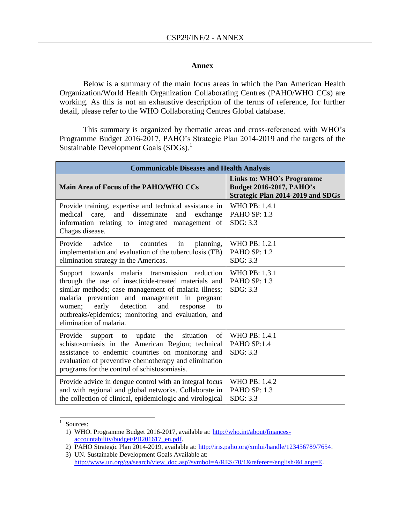#### **Annex**

Below is a summary of the main focus areas in which the Pan American Health Organization/World Health Organization Collaborating Centres (PAHO/WHO CCs) are working. As this is not an exhaustive description of the terms of reference, for further detail, please refer to the WHO Collaborating Centres Global database.

This summary is organized by thematic areas and cross-referenced with WHO's Programme Budget 2016-2017, PAHO's Strategic Plan 2014-2019 and the targets of the Sustainable Development Goals (SDGs)*.* 1

| <b>Communicable Diseases and Health Analysis</b>                                                                                                                                                                                                                                                                                                                 |                                                                                                                 |
|------------------------------------------------------------------------------------------------------------------------------------------------------------------------------------------------------------------------------------------------------------------------------------------------------------------------------------------------------------------|-----------------------------------------------------------------------------------------------------------------|
| Main Area of Focus of the PAHO/WHO CCs                                                                                                                                                                                                                                                                                                                           | <b>Links to: WHO's Programme</b><br><b>Budget 2016-2017, PAHO's</b><br><b>Strategic Plan 2014-2019 and SDGs</b> |
| Provide training, expertise and technical assistance in<br>disseminate<br>care,<br>and<br>medical<br>and<br>exchange<br>information relating to integrated management of<br>Chagas disease.                                                                                                                                                                      | WHO PB: 1.4.1<br>PAHO SP: 1.3<br>SDG: 3.3                                                                       |
| Provide<br>advice<br>planning,<br>countries<br>in<br>to<br>implementation and evaluation of the tuberculosis (TB)<br>elimination strategy in the Americas.                                                                                                                                                                                                       | WHO PB: 1.2.1<br><b>PAHO SP: 1.2</b><br>SDG: 3.3                                                                |
| towards malaria transmission<br>reduction<br>Support<br>through the use of insecticide-treated materials and<br>similar methods; case management of malaria illness;<br>malaria prevention and management in pregnant<br>detection<br>and<br>early<br>women;<br>response<br>to<br>outbreaks/epidemics; monitoring and evaluation, and<br>elimination of malaria. | WHO PB: 1.3.1<br><b>PAHO SP: 1.3</b><br>SDG: 3.3                                                                |
| Provide<br>update the<br>situation<br>of<br>support to<br>schistosomiasis in the American Region; technical<br>assistance to endemic countries on monitoring and<br>evaluation of preventive chemotherapy and elimination<br>programs for the control of schistosomiasis.                                                                                        | <b>WHO PB: 1.4.1</b><br>PAHO SP:1.4<br>SDG: 3.3                                                                 |
| Provide advice in dengue control with an integral focus<br>and with regional and global networks. Collaborate in<br>the collection of clinical, epidemiologic and virological                                                                                                                                                                                    | WHO PB: $1.4.2$<br>PAHO SP: 1.3<br>SDG: 3.3                                                                     |

|<br>|<br>| Sources:

<sup>1)</sup> WHO. Programme Budget 2016-2017, available at: [http://who.int/about/finances](http://who.int/about/finances-%09accountability/budget/PB201617_en.pdf)[accountability/budget/PB201617\\_en.pdf.](http://who.int/about/finances-%09accountability/budget/PB201617_en.pdf)

<sup>2)</sup> PAHO Strategic Plan 2014-2019, available at: [http://iris.paho.org/xmlui/handle/123456789/7654.](http://iris.paho.org/xmlui/handle/123456789/7654)

<sup>3)</sup> UN. Sustainable Development Goals Available at: [http://www.un.org/ga/search/view\\_doc.asp?symbol=A/RES/70/1&referer=/english/&Lang=E.](http://www.un.org/ga/search/view_doc.asp?symbol=A/RES/70/1&referer=/english/&Lang=E)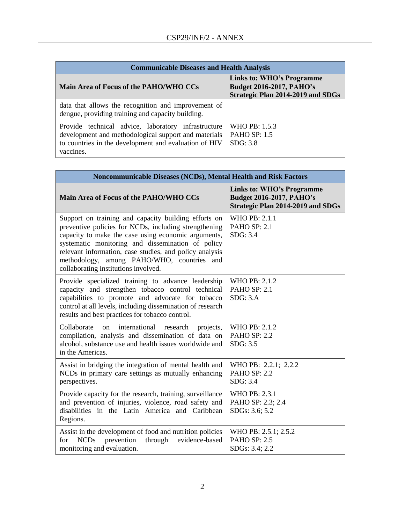| <b>Communicable Diseases and Health Analysis</b>                                                                                                                                  |                                                                                                          |
|-----------------------------------------------------------------------------------------------------------------------------------------------------------------------------------|----------------------------------------------------------------------------------------------------------|
| Main Area of Focus of the PAHO/WHO CCs                                                                                                                                            | Links to: WHO's Programme<br><b>Budget 2016-2017, PAHO's</b><br><b>Strategic Plan 2014-2019 and SDGs</b> |
| data that allows the recognition and improvement of<br>dengue, providing training and capacity building.                                                                          |                                                                                                          |
| Provide technical advice, laboratory infrastructure<br>development and methodological support and materials<br>to countries in the development and evaluation of HIV<br>vaccines. | WHO PB: 1.5.3<br><b>PAHO SP: 1.5</b><br>SDG: 3.8                                                         |

| Noncommunicable Diseases (NCDs), Mental Health and Risk Factors                                                                                                                                                                                                                                                                                                            |                                                                                                                 |
|----------------------------------------------------------------------------------------------------------------------------------------------------------------------------------------------------------------------------------------------------------------------------------------------------------------------------------------------------------------------------|-----------------------------------------------------------------------------------------------------------------|
| Main Area of Focus of the PAHO/WHO CCs                                                                                                                                                                                                                                                                                                                                     | <b>Links to: WHO's Programme</b><br><b>Budget 2016-2017, PAHO's</b><br><b>Strategic Plan 2014-2019 and SDGs</b> |
| Support on training and capacity building efforts on<br>preventive policies for NCDs, including strengthening<br>capacity to make the case using economic arguments,<br>systematic monitoring and dissemination of policy<br>relevant information, case studies, and policy analysis<br>methodology, among PAHO/WHO, countries and<br>collaborating institutions involved. | WHO PB: 2.1.1<br><b>PAHO SP: 2.1</b><br>SDG: 3.4                                                                |
| Provide specialized training to advance leadership<br>capacity and strengthen tobacco control technical<br>capabilities to promote and advocate for tobacco<br>control at all levels, including dissemination of research<br>results and best practices for tobacco control.                                                                                               | WHO PB: 2.1.2<br>PAHO SP: 2.1<br>SDG: 3.A                                                                       |
| Collaborate<br>international<br>on<br>research<br>projects,<br>compilation, analysis and dissemination of data on<br>alcohol, substance use and health issues worldwide and<br>in the Americas.                                                                                                                                                                            | WHO PB: 2.1.2<br><b>PAHO SP: 2.2</b><br>SDG: 3.5                                                                |
| Assist in bridging the integration of mental health and<br>NCDs in primary care settings as mutually enhancing<br>perspectives.                                                                                                                                                                                                                                            | WHO PB: 2.2.1; 2.2.2<br><b>PAHO SP: 2.2</b><br>SDG: 3.4                                                         |
| Provide capacity for the research, training, surveillance<br>and prevention of injuries, violence, road safety and<br>disabilities in the Latin America and Caribbean<br>Regions.                                                                                                                                                                                          | WHO PB: 2.3.1<br>PAHO SP: 2.3; 2.4<br>SDGs: 3.6; 5.2                                                            |
| Assist in the development of food and nutrition policies<br><b>NCDs</b><br>prevention<br>through<br>evidence-based<br>for<br>monitoring and evaluation.                                                                                                                                                                                                                    | WHO PB: 2.5.1; 2.5.2<br><b>PAHO SP: 2.5</b><br>SDGs: 3.4; 2.2                                                   |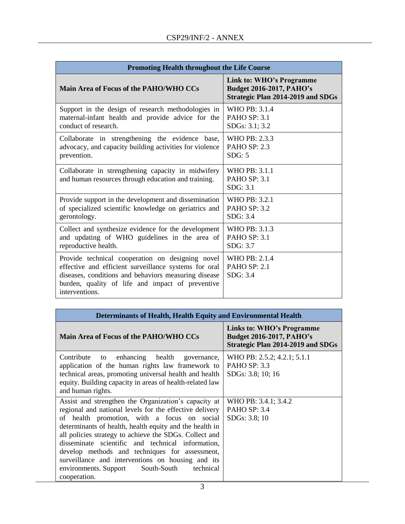| <b>Promoting Health throughout the Life Course</b>                                                                                                                                                                                      |                                                                                                         |
|-----------------------------------------------------------------------------------------------------------------------------------------------------------------------------------------------------------------------------------------|---------------------------------------------------------------------------------------------------------|
| Main Area of Focus of the PAHO/WHO CCs                                                                                                                                                                                                  | Link to: WHO's Programme<br><b>Budget 2016-2017, PAHO's</b><br><b>Strategic Plan 2014-2019 and SDGs</b> |
| Support in the design of research methodologies in                                                                                                                                                                                      | WHO PB: 3.1.4                                                                                           |
| maternal-infant health and provide advice for the                                                                                                                                                                                       | PAHO SP: 3.1                                                                                            |
| conduct of research.                                                                                                                                                                                                                    | SDGs: 3.1; 3.2                                                                                          |
| Collaborate in strengthening the evidence base,                                                                                                                                                                                         | WHO PB: 2.3.3                                                                                           |
| advocacy, and capacity building activities for violence                                                                                                                                                                                 | <b>PAHO SP: 2.3</b>                                                                                     |
| prevention.                                                                                                                                                                                                                             | SDG: 5                                                                                                  |
| Collaborate in strengthening capacity in midwifery<br>and human resources through education and training.                                                                                                                               | WHO PB: $3.1.1$<br><b>PAHO SP: 3.1</b><br>SDG: 3.1                                                      |
| Provide support in the development and dissemination                                                                                                                                                                                    | WHO PB: 3.2.1                                                                                           |
| of specialized scientific knowledge on geriatrics and                                                                                                                                                                                   | PAHO SP: 3.2                                                                                            |
| gerontology.                                                                                                                                                                                                                            | SDG: 3.4                                                                                                |
| Collect and synthesize evidence for the development                                                                                                                                                                                     | WHO PB: 3.1.3                                                                                           |
| and updating of WHO guidelines in the area of                                                                                                                                                                                           | PAHO SP: 3.1                                                                                            |
| reproductive health.                                                                                                                                                                                                                    | SDG: 3.7                                                                                                |
| Provide technical cooperation on designing novel<br>effective and efficient surveillance systems for oral<br>diseases, conditions and behaviors measuring disease<br>burden, quality of life and impact of preventive<br>interventions. | WHO PB: 2.1.4<br>PAHO SP: 2.1<br>SDG: 3.4                                                               |

| Determinants of Health, Health Equity and Environmental Health                                                                                                                                                                                                                                                                                                                                                                                                                                                    |                                                                                                          |
|-------------------------------------------------------------------------------------------------------------------------------------------------------------------------------------------------------------------------------------------------------------------------------------------------------------------------------------------------------------------------------------------------------------------------------------------------------------------------------------------------------------------|----------------------------------------------------------------------------------------------------------|
| Main Area of Focus of the PAHO/WHO CCs                                                                                                                                                                                                                                                                                                                                                                                                                                                                            | Links to: WHO's Programme<br><b>Budget 2016-2017, PAHO's</b><br><b>Strategic Plan 2014-2019 and SDGs</b> |
| Contribute to enhancing health governance,<br>application of the human rights law framework to<br>technical areas, promoting universal health and health<br>equity. Building capacity in areas of health-related law<br>and human rights.                                                                                                                                                                                                                                                                         | WHO PB: 2.5.2; 4.2.1; 5.1.1<br>PAHO SP: 3.3<br>SDGs: 3.8; 10; 16                                         |
| Assist and strengthen the Organization's capacity at<br>regional and national levels for the effective delivery<br>of health promotion, with a focus on social<br>determinants of health, health equity and the health in<br>all policies strategy to achieve the SDGs. Collect and<br>disseminate scientific and technical information,<br>develop methods and techniques for assessment,<br>surveillance and interventions on housing and its<br>environments. Support South-South<br>technical<br>cooperation. | WHO PB: 3.4.1; 3.4.2<br>PAHO SP: 3.4<br>SDGs: 3.8; 10                                                    |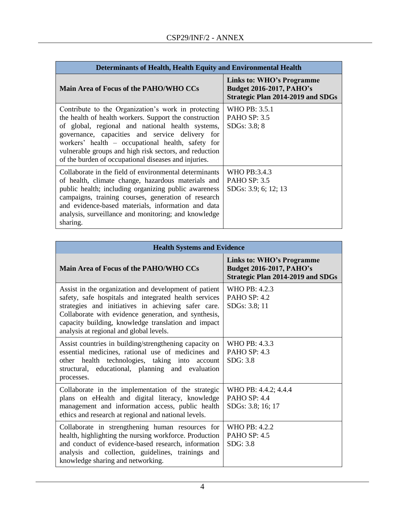| Determinants of Health, Health Equity and Environmental Health                                                                                                                                                                                                                                                                                                                              |                                                                                                          |
|---------------------------------------------------------------------------------------------------------------------------------------------------------------------------------------------------------------------------------------------------------------------------------------------------------------------------------------------------------------------------------------------|----------------------------------------------------------------------------------------------------------|
| Main Area of Focus of the PAHO/WHO CCs                                                                                                                                                                                                                                                                                                                                                      | Links to: WHO's Programme<br><b>Budget 2016-2017, PAHO's</b><br><b>Strategic Plan 2014-2019 and SDGs</b> |
| Contribute to the Organization's work in protecting<br>the health of health workers. Support the construction<br>of global, regional and national health systems,<br>governance, capacities and service delivery for<br>workers' health – occupational health, safety for<br>vulnerable groups and high risk sectors, and reduction<br>of the burden of occupational diseases and injuries. | WHO PB: 3.5.1<br><b>PAHO SP: 3.5</b><br>SDGs: 3.8; 8                                                     |
| Collaborate in the field of environmental determinants<br>of health, climate change, hazardous materials and<br>public health; including organizing public awareness<br>campaigns, training courses, generation of research<br>and evidence-based materials, information and data<br>analysis, surveillance and monitoring; and knowledge<br>sharing.                                       | WHO PB:3.4.3<br><b>PAHO SP: 3.5</b><br>SDGs: 3.9; 6; 12; 13                                              |

| <b>Health Systems and Evidence</b>                                                                                                                                                                                                                                                                                              |                                                                                                          |
|---------------------------------------------------------------------------------------------------------------------------------------------------------------------------------------------------------------------------------------------------------------------------------------------------------------------------------|----------------------------------------------------------------------------------------------------------|
| Main Area of Focus of the PAHO/WHO CCs                                                                                                                                                                                                                                                                                          | Links to: WHO's Programme<br><b>Budget 2016-2017, PAHO's</b><br><b>Strategic Plan 2014-2019 and SDGs</b> |
| Assist in the organization and development of patient<br>safety, safe hospitals and integrated health services<br>strategies and initiatives in achieving safer care.<br>Collaborate with evidence generation, and synthesis,<br>capacity building, knowledge translation and impact<br>analysis at regional and global levels. | WHO PB: 4.2.3<br>PAHO SP: 4.2<br>SDGs: 3.8; 11                                                           |
| Assist countries in building/strengthening capacity on<br>essential medicines, rational use of medicines and<br>other health technologies, taking into account<br>structural, educational, planning and evaluation<br>processes.                                                                                                | WHO PB: 4.3.3<br>PAHO SP: 4.3<br>SDG: 3.8                                                                |
| Collaborate in the implementation of the strategic<br>plans on eHealth and digital literacy, knowledge<br>management and information access, public health<br>ethics and research at regional and national levels.                                                                                                              | WHO PB: 4.4.2; 4.4.4<br>PAHO SP: 4.4<br>SDGs: 3.8; 16; 17                                                |
| Collaborate in strengthening human resources for<br>health, highlighting the nursing workforce. Production<br>and conduct of evidence-based research, information<br>analysis and collection, guidelines, trainings and<br>knowledge sharing and networking.                                                                    | WHO PB: 4.2.2<br><b>PAHO SP: 4.5</b><br>SDG: 3.8                                                         |